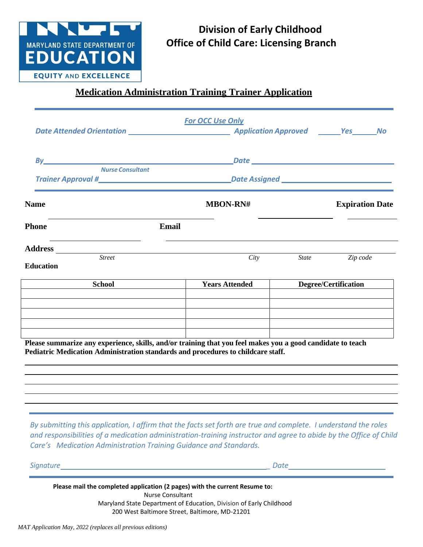

## **Division of Early Childhood Office of Child Care: Licensing Branch**

## **Medication Administration Training Trainer Application**

|                                                                                                                                                                                                                                                           | <b>For OCC Use Only</b>                                                                                                                                                                                                              |              |                        |
|-----------------------------------------------------------------------------------------------------------------------------------------------------------------------------------------------------------------------------------------------------------|--------------------------------------------------------------------------------------------------------------------------------------------------------------------------------------------------------------------------------------|--------------|------------------------|
| By the contract of the contract of the contract of the contract of the contract of the contract of the contract of the contract of the contract of the contract of the contract of the contract of the contract of the contrac<br><b>Nurse Consultant</b> | <u>Date experimental property and the set of the set of the set of the set of the set of the set of the set of the set of the set of the set of the set of the set of the set of the set of the set of the set of the set of the</u> |              |                        |
|                                                                                                                                                                                                                                                           |                                                                                                                                                                                                                                      |              |                        |
| <b>Name</b>                                                                                                                                                                                                                                               | <b>MBON-RN#</b>                                                                                                                                                                                                                      |              | <b>Expiration Date</b> |
| <b>Phone</b><br>Email                                                                                                                                                                                                                                     |                                                                                                                                                                                                                                      |              |                        |
| <b>Street</b><br><b>Education</b>                                                                                                                                                                                                                         | City                                                                                                                                                                                                                                 | <b>State</b> | Zip code               |
| <b>School</b>                                                                                                                                                                                                                                             | <b>Years Attended</b>                                                                                                                                                                                                                |              | Degree/Certification   |
| Please summarize any experience, skills, and/or training that you feel makes you a good candidate to teach<br>Pediatric Medication Administration standards and procedures to childcare staff.                                                            |                                                                                                                                                                                                                                      |              |                        |
|                                                                                                                                                                                                                                                           |                                                                                                                                                                                                                                      |              |                        |
| By submitting this application, I affirm that the facts set forth are true and complete. I understand the roles<br>and responsibilities of a medication administration-training instructor and agree to abide by the Office of Child                      |                                                                                                                                                                                                                                      |              |                        |

*Signature \_ Date* **Murse Consultant**<br>Maryland State Department of Education, Division of Early Childhood **Please mail the completed application (2 pages) with the current Resume to:**  Nurse Consultant 200 West Baltimore Street, Baltimore, MD-21201